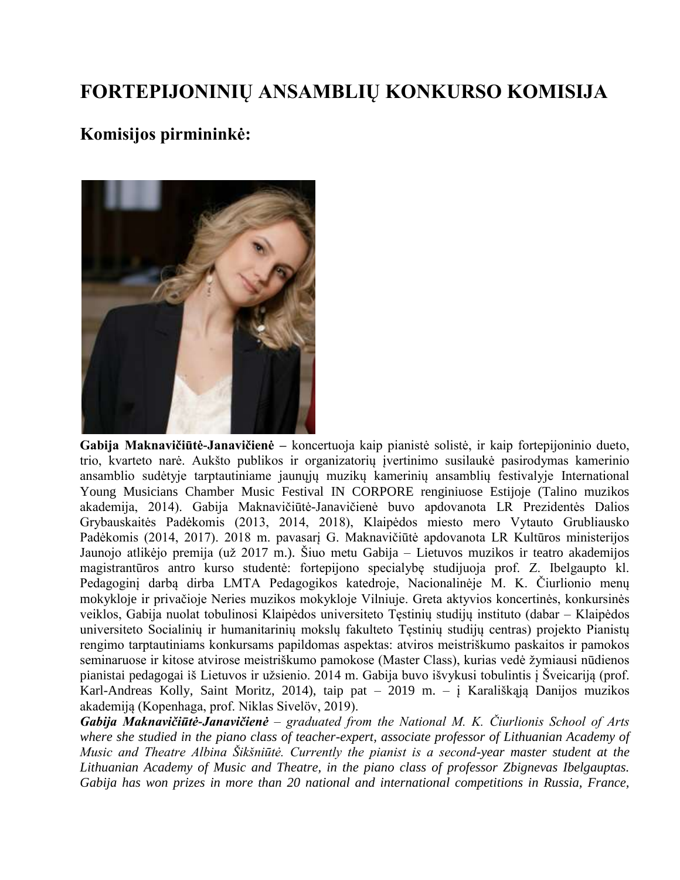## **FORTEPIJONINIŲ ANSAMBLIŲ KONKURSO KOMISIJA**

## **Komisijos pirmininkė:**



**Gabija Maknavičiūtė-Janavičienė –** koncertuoja kaip pianistė solistė, ir kaip fortepijoninio dueto, trio, kvarteto narė. Aukšto publikos ir organizatorių įvertinimo susilaukė pasirodymas kamerinio ansamblio sudėtyje tarptautiniame jaunųjų muzikų kamerinių ansamblių festivalyje International Young Musicians Chamber Music Festival IN CORPORE renginiuose Estijoje (Talino muzikos akademija, 2014). Gabija Maknavičiūtė-Janavičienė buvo apdovanota LR Prezidentės Dalios Grybauskaitės Padėkomis (2013, 2014, 2018), Klaipėdos miesto mero Vytauto Grubliausko Padėkomis (2014, 2017). 2018 m. pavasarį G. Maknavičiūtė apdovanota LR Kultūros ministerijos Jaunojo atlikėjo premija (už 2017 m.). Šiuo metu Gabija – Lietuvos muzikos ir teatro akademijos magistrantūros antro kurso studentė: fortepijono specialybę studijuoja prof. Z. Ibelgaupto kl. Pedagoginį darbą dirba LMTA Pedagogikos katedroje, Nacionalinėje M. K. Čiurlionio menų mokykloje ir privačioje Neries muzikos mokykloje Vilniuje. Greta aktyvios koncertinės, konkursinės veiklos, Gabija nuolat tobulinosi Klaipėdos universiteto Tęstinių studijų instituto (dabar – Klaipėdos universiteto Socialinių ir humanitarinių mokslų fakulteto Tęstinių studijų centras) projekto Pianistų rengimo tarptautiniams konkursams papildomas aspektas: atviros meistriškumo paskaitos ir pamokos seminaruose ir kitose atvirose meistriškumo pamokose (Master Class), kurias vedė žymiausi nūdienos pianistai pedagogai iš Lietuvos ir užsienio. 2014 m. Gabija buvo išvykusi tobulintis į Šveicariją (prof. Karl-Andreas Kolly, Saint Moritz, 2014), taip pat – 2019 m. – į Karališkąją Danijos muzikos akademiją (Kopenhaga, prof. Niklas Sivelöv, 2019).

*Gabija Maknavičiūtė-Janavičienė – graduated from the National M. K. Čiurlionis School of Arts where she studied in the piano class of teacher-expert, associate professor of Lithuanian Academy of Music and Theatre Albina Šikšniūtė. Currently the pianist is a second-year master student at the Lithuanian Academy of Music and Theatre, in the piano class of professor Zbignevas Ibelgauptas. Gabija has won prizes in more than 20 national and international competitions in Russia, France,*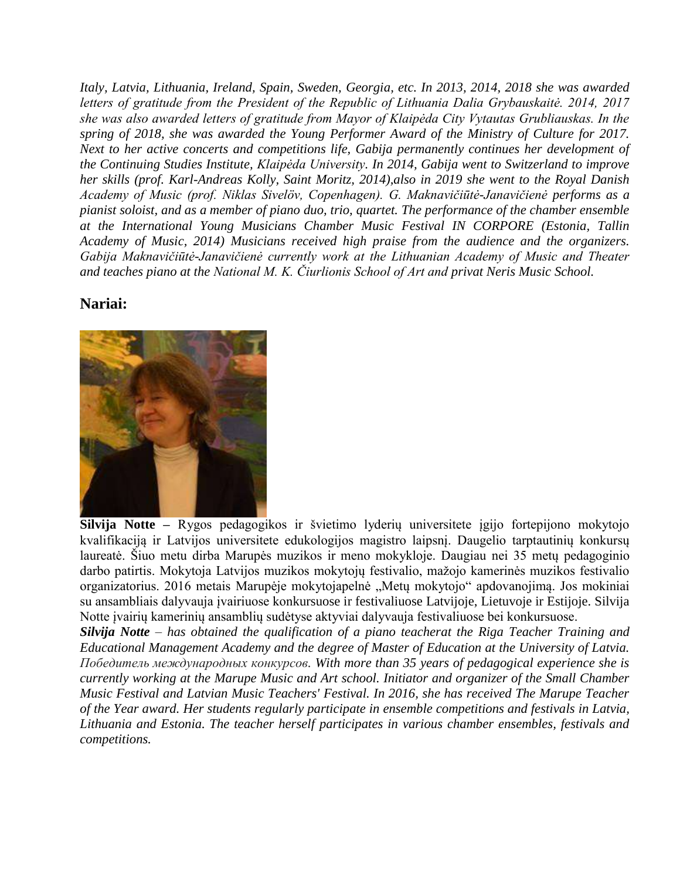*Italy, Latvia, Lithuania, Ireland, Spain, Sweden, Georgia, etc. In 2013, 2014, 2018 she was awarded letters of gratitude from the President of the Republic of Lithuania Dalia Grybauskaitė. 2014, 2017 she was also awarded letters of gratitude from Mayor of Klaipėda City Vytautas Grubliauskas. In the spring of 2018, she was awarded the Young Performer Award of the Ministry of Culture for 2017. Next to her active concerts and competitions life, Gabija permanently continues her development of the Continuing Studies Institute, Klaipėda University. In 2014, Gabija went to Switzerland to improve her skills (prof. Karl-Andreas Kolly, Saint Moritz, 2014),also in 2019 she went to the Royal Danish Academy of Music (prof. Niklas Sivelöv, Copenhagen). G. Maknavičiūtė-Janavičienė performs as a pianist soloist, and as a member of piano duo, trio, quartet. The performance of the chamber ensemble at the International Young Musicians Chamber Music Festival IN CORPORE (Estonia, Tallin Academy of Music, 2014) Musicians received high praise from the audience and the organizers. Gabija Maknavičiūtė-Janavičienė currently work at the Lithuanian Academy of Music and Theater and teaches piano at the National M. K. Čiurlionis School of Art and privat Neris Music School.* 

## **Nariai:**



**Silvija Notte –** Rygos pedagogikos ir švietimo lyderių universitete įgijo fortepijono mokytojo kvalifikaciją ir Latvijos universitete edukologijos magistro laipsnį. Daugelio tarptautinių konkursų laureatė. Šiuo metu dirba Marupės muzikos ir meno mokykloje. Daugiau nei 35 metų pedagoginio darbo patirtis. Mokytoja Latvijos muzikos mokytojų festivalio, mažojo kamerinės muzikos festivalio organizatorius. 2016 metais Marupėje mokytojapelnė "Metų mokytojo" apdovanojimą. Jos mokiniai su ansambliais dalyvauja įvairiuose konkursuose ir festivaliuose Latvijoje, Lietuvoje ir Estijoje. Silvija Notte įvairių kamerinių ansamblių sudėtyse aktyviai dalyvauja festivaliuose bei konkursuose.

*Silvija Notte – has obtained the qualification of a piano teacherat the [Riga Teacher Training and](https://en.wikipedia.org/w/index.php?title=Riga_Teacher_Training_and_Educational_Management_Academy&action=edit&redlink=1)  [Educational Management Academy](https://en.wikipedia.org/w/index.php?title=Riga_Teacher_Training_and_Educational_Management_Academy&action=edit&redlink=1) and the degree of Master of Education at the University of Latvia. Победитель международных конкурсов. With more than 35 years of pedagogical experience she is currently working at the Marupe Music and Art school. Initiator and organizer of the Small Chamber Music Festival and Latvian Music Teachers' Festival. In 2016, she has received The Marupe Teacher of the Year award. Her students regularly participate in ensemble competitions and festivals in Latvia, Lithuania and Estonia. The teacher herself participates in various chamber ensembles, festivals and competitions.*